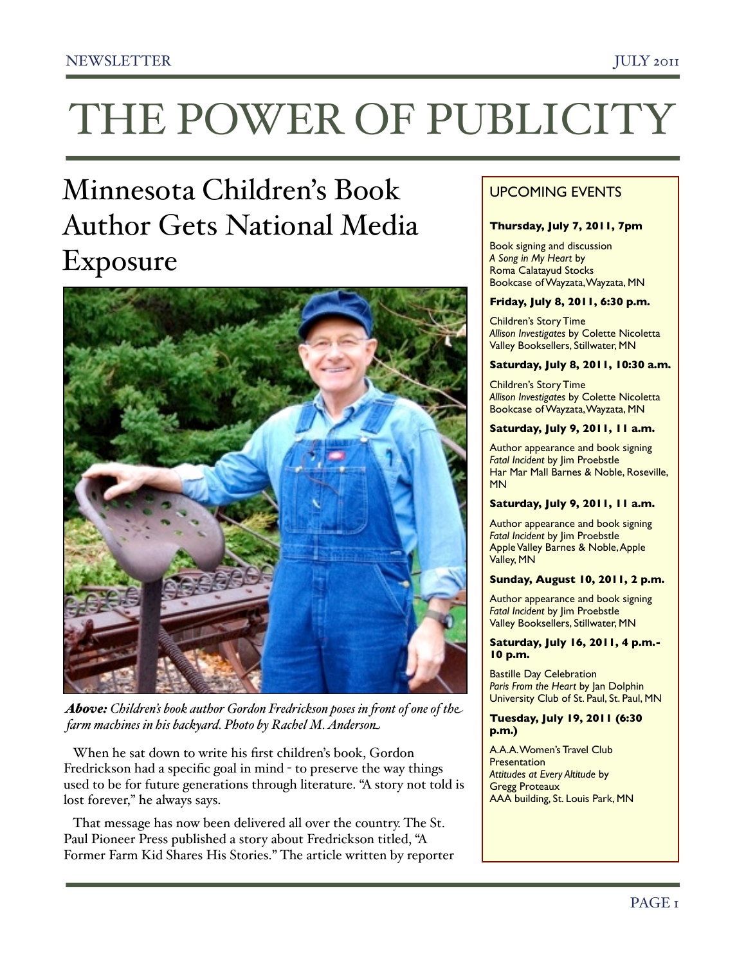# THE POWER OF PUBLICITY

# Minnesota Children's Book Author Gets National Media Exposure



*Above: Children's book author Gordon Fredrickson poses in !ont of one of the farm machines in his backyard. Photo by Rachel M. Anderson*

 When he sat down to write his first children's book, Gordon Fredrickson had a specific goal in mind - to preserve the way things used to be for future generations through literature. "A story not told is lost forever," he always says.

 That message has now been delivered all over the country. The St. Paul Pioneer Press published a story about Fredrickson titled, "A Former Farm Kid Shares His Stories." The article written by reporter

# UPCOMING EVENTS

#### **Thursday, July 7, 2011, 7pm**

Book signing and discussion *A Song in My Heart* by Roma Calatayud Stocks Bookcase of Wayzata, Wayzata, MN

#### **Friday, July 8, 2011, 6:30 p.m.**

Children's Story Time *Allison Investigates* by Colette Nicoletta Valley Booksellers, Stillwater, MN

#### **Saturday, July 8, 2011, 10:30 a.m.**

Children's Story Time *Allison Investigates* by Colette Nicoletta Bookcase of Wayzata, Wayzata, MN

#### **Saturday, July 9, 2011, 11 a.m.**

Author appearance and book signing *Fatal Incident* by Jim Proebstle Har Mar Mall Barnes & Noble, Roseville, MN

#### **Saturday, July 9, 2011, 11 a.m.**

Author appearance and book signing *Fatal Incident* by Jim Proebstle Apple Valley Barnes & Noble, Apple Valley, MN

#### **Sunday, August 10, 2011, 2 p.m.**

Author appearance and book signing *Fatal Incident* by Jim Proebstle Valley Booksellers, Stillwater, MN

#### **Saturday, July 16, 2011, 4 p.m.- 10 p.m.**

Bastille Day Celebration *Paris From the Heart* by Jan Dolphin University Club of St. Paul, St. Paul, MN

#### **Tuesday, July 19, 2011 (6:30 p.m.)**

A.A.A. Women's Travel Club **Presentation** *Attitudes at Every Altitude* by Gregg Proteaux AAA building, St. Louis Park, MN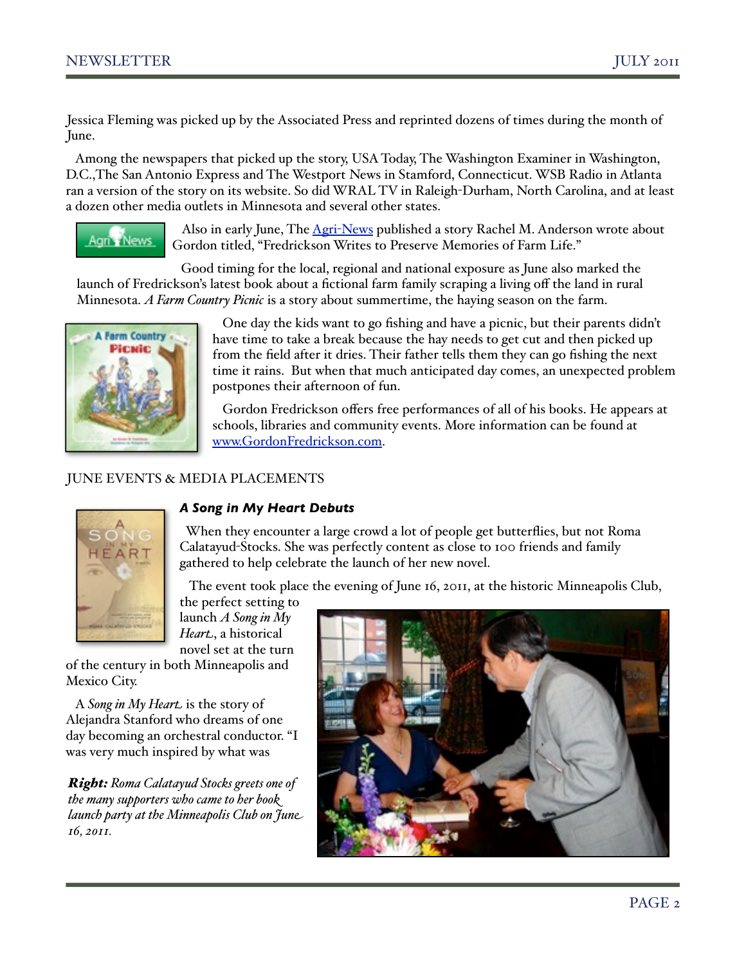Jessica Fleming was picked up by the Associated Press and reprinted dozens of times during the month of June.

 Among the newspapers that picked up the story, USA Today, The Washington Examiner in Washington, D.C.,The San Antonio Express and The Westport News in Stamford, Connecticut. WSB Radio in Atlanta ran a version of the story on its website. So did WRAL TV in Raleigh-Durham, North Carolina, and at least a dozen other media outlets in Minnesota and several other states.



 Also in early June, The Agri-[News](http://www.agrinews.com/local/author/writes/to/preserve/memories/of/farm/life/story-3644.html) published a story Rachel M. Anderson wrote about Gordon titled, "Fredrickson Writes to Preserve Memories of Farm Life."

 Good timing for the local, regional and national exposure as June also marked the launch of Fredrickson's latest book about a fictional farm family scraping a living off the land in rural Minnesota. *A Farm Country Picnic* is a story about summertime, the haying season on the farm.



 One day the kids want to go fishing and have a picnic, but their parents didn't have time to take a break because the hay needs to get cut and then picked up from the field after it dries. Their father tells them they can go fishing the next time it rains. But when that much anticipated day comes, an unexpected problem postpones their afternoon of fun.

 Gordon Fredrickson offers free performances of all of his books. He appears at schools, libraries and community events. More information can be found at [www.GordonFredrickson.com.](http://www.GordonFredrickson.com)

# JUNE EVENTS & MEDIA PLACEMENTS



# *A Song in My Heart Debuts*

 When they encounter a large crowd a lot of people get butterflies, but not Roma Calatayud-Stocks. She was perfectly content as close to 100 friends and family gathered to help celebrate the launch of her new novel.

The event took place the evening of June 16, 2011, at the historic Minneapolis Club,

the perfect setting to launch *A Song in My Heart*, a historical novel set at the turn

of the century in both Minneapolis and Mexico City.

 A *Song in My Heart* is the story of Alejandra Stanford who dreams of one day becoming an orchestral conductor. "I was very much inspired by what was

*Right: Roma Calatayud Stocks greets one of the many supporters who came to her book launch party at the Minneapolis Club on June 16, 2011.* 

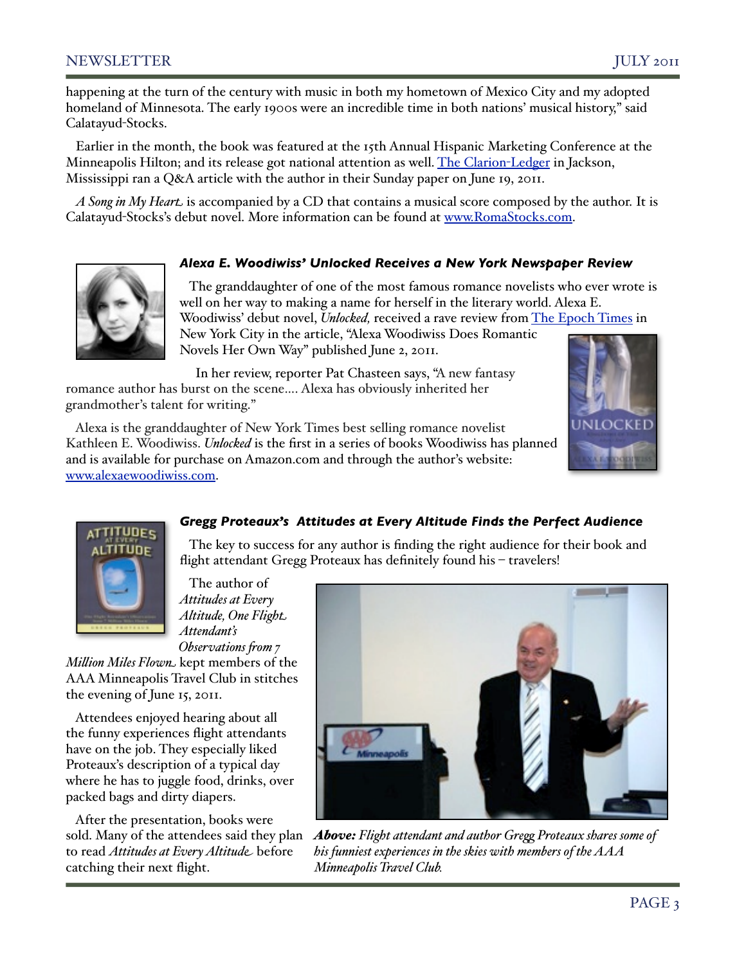happening at the turn of the century with music in both my hometown of Mexico City and my adopted homeland of Minnesota. The early 1900s were an incredible time in both nations' musical history," said Calatayud-Stocks.

 Earlier in the month, the book was featured at the 15th Annual Hispanic Marketing Conference at the Minneapolis Hilton; and its release got national attention as well. [The Clarion](http://livepage.apple.com/)-Ledger in Jackson, Mississippi ran a Q&A article with the author in their Sunday paper on June 19, 2011.

 *A Song in My Heart* is accompanied by a CD that contains a musical score composed by the author. It is Calatayud-Stocks's debut novel. More information can be found at [www.RomaStocks.com.](http://www.RomaStocks.com)

#### *Alexa E. Woodiwiss' Unlocked Receives a New York Newspaper Review*



 The granddaughter of one of the most famous romance novelists who ever wrote is well on her way to making a name for herself in the literary world. Alexa E. Woodiwiss' debut novel, *Unlocked,* received a rave review from [The Epoch Times](http://www.theepochtimes.com/n2/arts-entertainment/alexa-woodiwiss-does-romantic-novels-her-own-way-57134.html) in New York City in the article, "Alexa Woodiwiss Does Romantic Novels Her Own Way" published June 2, 2011.

 In her review, reporter Pat Chasteen says, "A new fantasy romance author has burst on the scene…. Alexa has obviously inherited her grandmother's talent for writing."

 Alexa is the granddaughter of New York Times best selling romance novelist Kathleen E. Woodiwiss. *Unlocked* is the first in a series of books Woodiwiss has planned and is available for purchase on Amazon.com and through the author's website: [www.alexaewoodiwiss.com.](http://www.alexaewoodiwiss.com)





# *Gregg Proteaux's Attitudes at Every Altitude Finds the Perfect Audience*

 The key to success for any author is finding the right audience for their book and flight attendant Gregg Proteaux has definitely found his - travelers!

 The author of *Attitudes at Every Altitude, One Flight Attendant's Observations from 7* 

*Mi&ion Miles Flown* kept members of the AAA Minneapolis Travel Club in stitches the evening of June 15, 2011.

 Attendees enjoyed hearing about all the funny experiences flight attendants have on the job. They especially liked Proteaux's description of a typical day where he has to juggle food, drinks, over packed bags and dirty diapers.

 After the presentation, books were sold. Many of the attendees said they plan to read *Attitudes at Every Altitude* before catching their next flight.



*Above: Flight attendant and author Gre' Proteaux shares some of his funniest experiences in the skies with members of the AAA Minneapolis Travel Club.*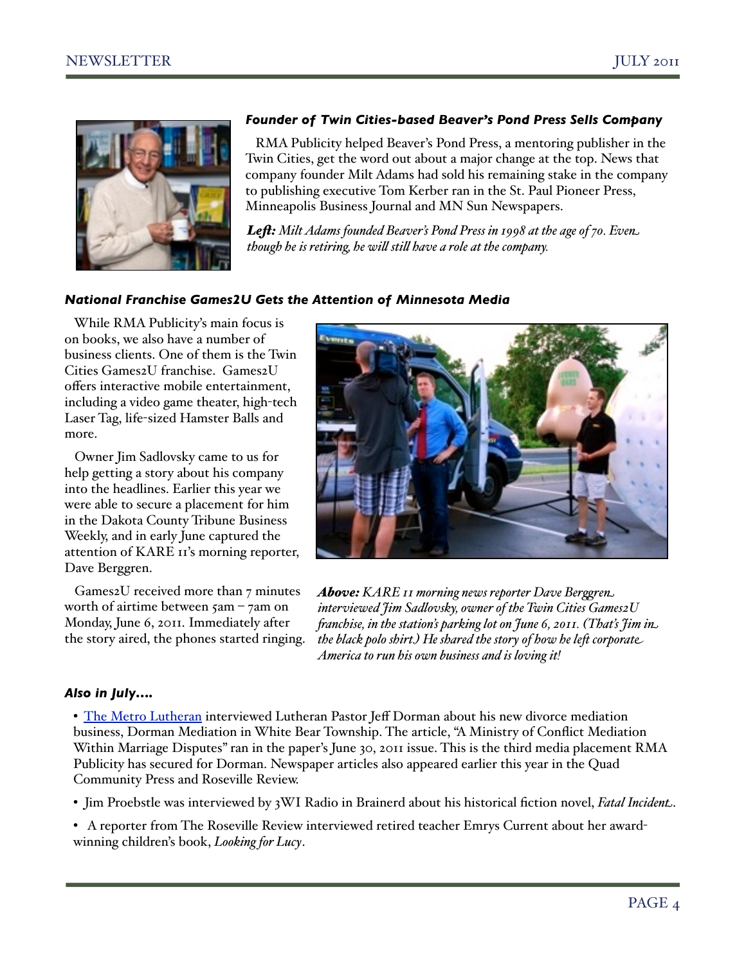

# *Founder of Twin Cities-based Beaver's Pond Press Sells Company*

 RMA Publicity helped Beaver's Pond Press, a mentoring publisher in the Twin Cities, get the word out about a major change at the top. News that company founder Milt Adams had sold his remaining stake in the company to publishing executive Tom Kerber ran in the St. Paul Pioneer Press, Minneapolis Business Journal and MN Sun Newspapers.

*Le!: Milt Adams founded Beaver's Pond Press in 1998 at the age of 70. Even though he is retiring, he will still have a role at the company.* 

# *National Franchise Games2U Gets the Attention of Minnesota Media*

 While RMA Publicity's main focus is on books, we also have a number of business clients. One of them is the Twin Cities Games2U franchise. Games2U offers interactive mobile entertainment, including a video game theater, high-tech Laser Tag, life-sized Hamster Balls and more.

 Owner Jim Sadlovsky came to us for help getting a story about his company into the headlines. Earlier this year we were able to secure a placement for him in the Dakota County Tribune Business Weekly, and in early June captured the attention of KARE 11's morning reporter, Dave Berggren.

 Games2U received more than 7 minutes worth of airtime between 5am – 7am on Monday, June 6, 2011. Immediately after the story aired, the phones started ringing.



*Above: KARE 11 morning news reporter Dave Berggren interviewed Jim Sadlovsky, owner of the Twin Cities Games2U !anchise, in the station's parking lot on June 6, 2011. (That's Jim in the black polo shirt.) He shared the story of how he le\* corporate America to run his own business and is loving it!* 

# *Also in July….*

• [The Metro Lutheran](http://metrolutheran.org/2011/06/when-%E2%80%98one-flesh%E2%80%99-becomes-two-again/) interviewed Lutheran Pastor Jeff Dorman about his new divorce mediation business, Dorman Mediation in White Bear Township. The article, "A Ministry of Conflict Mediation Within Marriage Disputes" ran in the paper's June 30, 2011 issue. This is the third media placement RMA Publicity has secured for Dorman. Newspaper articles also appeared earlier this year in the Quad Community Press and Roseville Review.

- Jim Proebstle was interviewed by 3WI Radio in Brainerd about his historical fiction novel, *Fatal Incident*.
- A reporter from The Roseville Review interviewed retired teacher Emrys Current about her awardwinning children's book, *Looking for Lucy*.